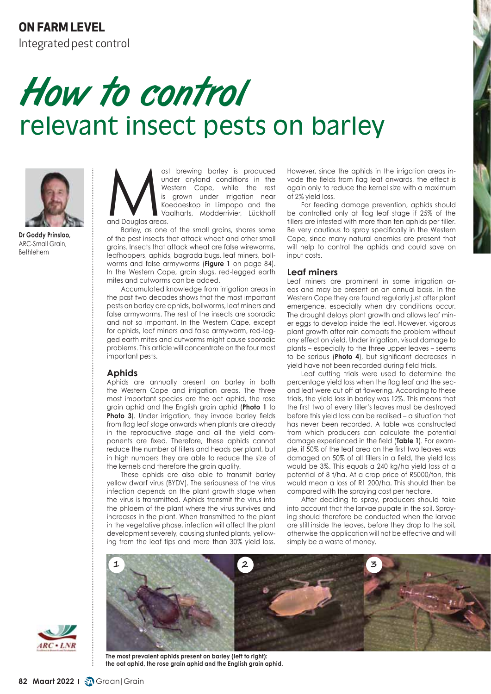# **ON FARM LEVEL**

Integrated pest control

# How to control relevant insect pests on barley



**Dr Goddy Prinsloo,** ARC-Small Grain, Bethlehem

ost brewing barley is produced<br>
under dryland conditions in the<br>
Western Cape, while the rest<br>
is grown under irrigation near<br>
Koedoeskop in Limpopo and the<br>
Vaalharts, Modderrivier, Lückhoff<br>
and Douglas areas. under dryland conditions in the Western Cape, while the rest is grown under irrigation near Koedoeskop in Limpopo and the Vaalharts, Modderrivier, Lückhoff and Douglas areas.

Barley, as one of the small grains, shares some of the pest insects that attack wheat and other small grains. Insects that attack wheat are false wireworms, leafhoppers, aphids, bagrada bugs, leaf miners, bollworms and false armyworms (**Figure 1** on page 84). In the Western Cape, grain slugs, red-legged earth mites and cutworms can be added.

Accumulated knowledge from irrigation areas in the past two decades shows that the most important pests on barley are aphids, bollworms, leaf miners and false armyworms. The rest of the insects are sporadic and not so important. In the Western Cape, except for aphids, leaf miners and false armyworm, red-legged earth mites and cutworms might cause sporadic problems. This article will concentrate on the four most important pests.

## **Aphids**

Aphids are annually present on barley in both the Western Cape and irrigation areas. The three most important species are the oat aphid, the rose grain aphid and the English grain aphid (**Photo 1** to Photo 3). Under irrigation, they invade barley fields from flag leaf stage onwards when plants are already in the reproductive stage and all the yield components are fixed. Therefore, these aphids cannot reduce the number of tillers and heads per plant, but in high numbers they are able to reduce the size of the kernels and therefore the grain quality.

These aphids are also able to transmit barley yellow dwarf virus (BYDV). The seriousness of the virus infection depends on the plant growth stage when the virus is transmitted. Aphids transmit the virus into the phloem of the plant where the virus survives and increases in the plant. When transmitted to the plant in the vegetative phase, infection will affect the plant development severely, causing stunted plants, yellowing from the leaf tips and more than 30% yield loss.

However, since the aphids in the irrigation areas invade the fields from flag leaf onwards, the effect is again only to reduce the kernel size with a maximum of 2% yield loss.

For feeding damage prevention, aphids should be controlled only at flag leaf stage if 25% of the tillers are infested with more than ten aphids per tiller. Be very cautious to spray specifically in the Western Cape, since many natural enemies are present that will help to control the aphids and could save on input costs.

## **Leaf miners**

Leaf miners are prominent in some irrigation areas and may be present on an annual basis. In the Western Cape they are found regularly just after plant emergence, especially when dry conditions occur. The drought delays plant growth and allows leaf miner eggs to develop inside the leaf. However, vigorous plant growth after rain combats the problem without any effect on yield. Under irrigation, visual damage to plants – especially to the three upper leaves – seems to be serious (**Photo 4**), but significant decreases in yield have not been recorded during field trials.

Leaf cutting trials were used to determine the percentage yield loss when the flag leaf and the second leaf were cut off at flowering. According to these trials, the yield loss in barley was 12%. This means that the first two of every tiller's leaves must be destroyed before this yield loss can be realised – a situation that has never been recorded. A table was constructed from which producers can calculate the potential damage experienced in the field (**Table 1**). For example, if 50% of the leaf area on the first two leaves was damaged on 50% of all tillers in a field, the yield loss would be 3%. This equals a 240 kg/ha yield loss at a potential of 8 t/ha. At a crop price of R5000/ton, this would mean a loss of R1 200/ha. This should then be compared with the spraying cost per hectare.

After deciding to spray, producers should take into account that the larvae pupate in the soil. Spraying should therefore be conducted when the larvae are still inside the leaves, before they drop to the soil, otherwise the application will not be effective and will simply be a waste of money.





**The most prevalent aphids present on barley (left to right): the oat aphid, the rose grain aphid and the English grain aphid.**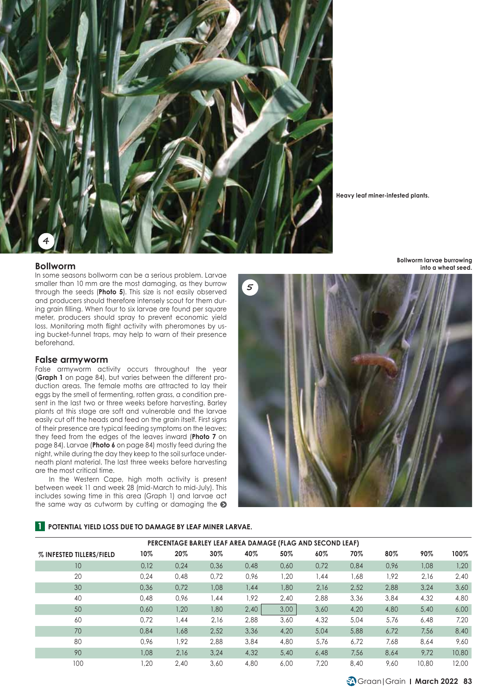

**Heavy leaf miner-infested plants.**

#### **Bollworm**

In some seasons bollworm can be a serious problem. Larvae smaller than 10 mm are the most damaging, as they burrow through the seeds (**Photo 5**). This size is not easily observed and producers should therefore intensely scout for them during grain filling. When four to six larvae are found per square meter, producers should spray to prevent economic yield loss. Monitoring moth flight activity with pheromones by using bucket-funnel traps, may help to warn of their presence beforehand.

#### **False armyworm**

False armyworm activity occurs throughout the year (**Graph 1** on page 84), but varies between the different production areas. The female moths are attracted to lay their eggs by the smell of fermenting, rotten grass, a condition present in the last two or three weeks before harvesting. Barley plants at this stage are soft and vulnerable and the larvae easily cut off the heads and feed on the grain itself. First signs of their presence are typical feeding symptoms on the leaves; they feed from the edges of the leaves inward (**Photo 7** on page 84). Larvae (**Photo 6** on page 84) mostly feed during the night, while during the day they keep to the soil surface underneath plant material. The last three weeks before harvesting are the most critical time.

In the Western Cape, high moth activity is present between week 11 and week 28 (mid-March to mid-July). This includes sowing time in this area (Graph 1) and larvae act the same way as cutworm by cutting or damaging the  $\odot$ 



### **1 POTENTIAL YIELD LOSS DUE TO DAMAGE BY LEAF MINER LARVAE.**

| PERCENTAGE BARLEY LEAF AREA DAMAGE (FLAG AND SECOND LEAF) |      |      |      |      |      |        |      |      |       |       |
|-----------------------------------------------------------|------|------|------|------|------|--------|------|------|-------|-------|
| % INFESTED TILLERS/FIELD                                  | 10%  | 20%  | 30%  | 40%  | 50%  | $60\%$ | 70%  | 80%  | 90%   | 100%  |
| 10                                                        | 0.12 | 0.24 | 0.36 | 0.48 | 0.60 | 0.72   | 0.84 | 0.96 | 1.08  | 1,20  |
| 20                                                        | 0.24 | 0.48 | 0.72 | 0,96 | 1.20 | 1.44   | 1,68 | 1,92 | 2,16  | 2.40  |
| 30                                                        | 0.36 | 0.72 | 1.08 | 1.44 | 1.80 | 2,16   | 2,52 | 2.88 | 3.24  | 3.60  |
| 40                                                        | 0.48 | 0.96 | .44  | 1.92 | 2,40 | 2,88   | 3,36 | 3.84 | 4,32  | 4,80  |
| 50                                                        | 0.60 | 1.20 | 1,80 | 2,40 | 3.00 | 3.60   | 4.20 | 4,80 | 5.40  | 6.00  |
| 60                                                        | 0.72 | 1,44 | 2.16 | 2.88 | 3.60 | 4,32   | 5.04 | 5.76 | 6,48  | 7.20  |
| 70                                                        | 0.84 | 1,68 | 2.52 | 3.36 | 4.20 | 5.04   | 5,88 | 6,72 | 7.56  | 8,40  |
| 80                                                        | 0.96 | 1.92 | 2.88 | 3,84 | 4,80 | 5.76   | 6.72 | 7.68 | 8.64  | 9.60  |
| 90                                                        | 1.08 | 2.16 | 3.24 | 4.32 | 5.40 | 6.48   | 7.56 | 8.64 | 9.72  | 10,80 |
| 100                                                       | .20  | 2.40 | 3.60 | 4,80 | 6.00 | 7.20   | 8,40 | 9.60 | 10,80 | 12.00 |

**Bollworm larvae burrowing into a wheat seed.**